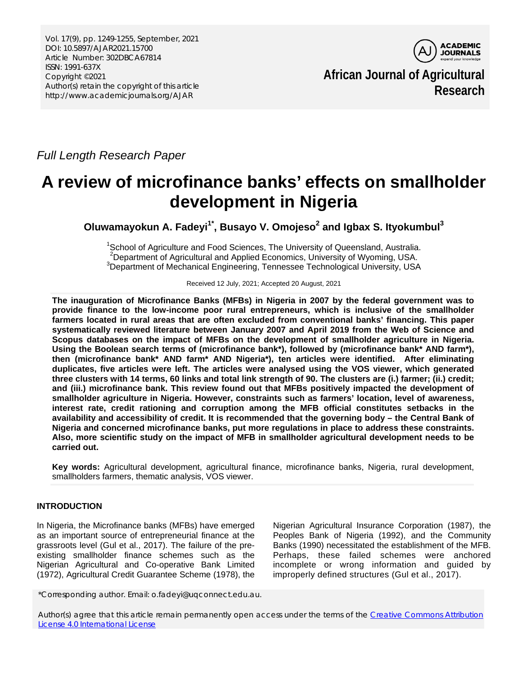Vol. 17(9), pp. 1249-1255, September, 2021 DOI: 10.5897/AJAR2021.15700 Article Number: 302DBCA67814 ISSN: 1991-637X Copyright ©2021 Author(s) retain the copyright of this article http://www.academicjournals.org/AJAR



**African Journal of Agricultural Research**

*Full Length Research Paper*

# **A review of microfinance banks' effects on smallholder development in Nigeria**

**Oluwamayokun A. Fadeyi1\* , Busayo V. Omojeso2 and Igbax S. Ityokumbul<sup>3</sup>**

<sup>1</sup>School of Agriculture and Food Sciences, The University of Queensland, Australia. <sup>2</sup> Department of Agricultural and Applied Economics, University of Wyoming, USA. <sup>3</sup>Department of Mechanical Engineering, Tennessee Technological University, USA

Received 12 July, 2021; Accepted 20 August, 2021

**The inauguration of Microfinance Banks (MFBs) in Nigeria in 2007 by the federal government was to provide finance to the low-income poor rural entrepreneurs, which is inclusive of the smallholder farmers located in rural areas that are often excluded from conventional banks' financing. This paper systematically reviewed literature between January 2007 and April 2019 from the Web of Science and Scopus databases on the impact of MFBs on the development of smallholder agriculture in Nigeria. Using the Boolean search terms of (microfinance bank\*), followed by (microfinance bank\* AND farm\*), then (microfinance bank\* AND farm\* AND Nigeria\*), ten articles were identified. After eliminating duplicates, five articles were left. The articles were analysed using the VOS viewer, which generated three clusters with 14 terms, 60 links and total link strength of 90. The clusters are (i.) farmer; (ii.) credit; and (iii.) microfinance bank. This review found out that MFBs positively impacted the development of smallholder agriculture in Nigeria. However, constraints such as farmers' location, level of awareness, interest rate, credit rationing and corruption among the MFB official constitutes setbacks in the availability and accessibility of credit. It is recommended that the governing body – the Central Bank of Nigeria and concerned microfinance banks, put more regulations in place to address these constraints. Also, more scientific study on the impact of MFB in smallholder agricultural development needs to be carried out.**

**Key words:** Agricultural development, agricultural finance, microfinance banks, Nigeria, rural development, smallholders farmers, thematic analysis, VOS viewer.

# **INTRODUCTION**

In Nigeria, the Microfinance banks (MFBs) have emerged as an important source of entrepreneurial finance at the grassroots level (Gul et al., 2017). The failure of the preexisting smallholder finance schemes such as the Nigerian Agricultural and Co-operative Bank Limited (1972), Agricultural Credit Guarantee Scheme (1978), the

Nigerian Agricultural Insurance Corporation (1987), the Peoples Bank of Nigeria (1992), and the Community Banks (1990) necessitated the establishment of the MFB. Perhaps, these failed schemes were anchored incomplete or wrong information and guided by improperly defined structures (Gul et al., 2017).

\*Corresponding author. Email: o.fadeyi@uqconnect.edu.au.

Author(s) agree that this article remain permanently open access under the terms of the Creative Commons Attribution [License 4.0 International License](http://creativecommons.org/licenses/by/4.0/deed.en_US)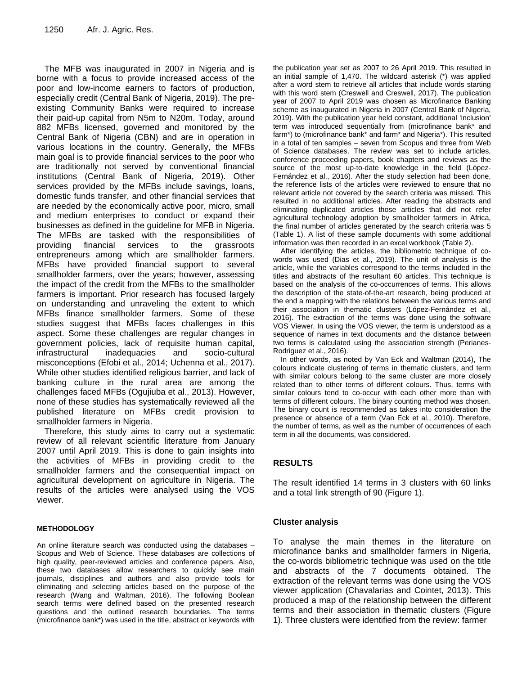The MFB was inaugurated in 2007 in Nigeria and is borne with a focus to provide increased access of the poor and low-income earners to factors of production, especially credit (Central Bank of Nigeria, 2019). The preexisting Community Banks were required to increase their paid-up capital from N5m to N20m. Today, around 882 MFBs licensed, governed and monitored by the Central Bank of Nigeria (CBN) and are in operation in various locations in the country. Generally, the MFBs main goal is to provide financial services to the poor who are traditionally not served by conventional financial institutions (Central Bank of Nigeria, 2019). Other services provided by the MFBs include savings, loans, domestic funds transfer, and other financial services that are needed by the economically active poor, micro, small and medium enterprises to conduct or expand their businesses as defined in the guideline for MFB in Nigeria. The MFBs are tasked with the responsibilities of providing financial services to the grassroots entrepreneurs among which are smallholder farmers. MFBs have provided financial support to several smallholder farmers, over the years; however, assessing the impact of the credit from the MFBs to the smallholder farmers is important. Prior research has focused largely on understanding and unraveling the extent to which MFBs finance smallholder farmers. Some of these studies suggest that MFBs faces challenges in this aspect. Some these challenges are regular changes in government policies, lack of requisite human capital, infrastructural inadequacies and socio-cultural misconceptions (Efobi et al., 2014; Uchenna et al., 2017). While other studies identified religious barrier, and lack of banking culture in the rural area are among the challenges faced MFBs (Ogujiuba et al., 2013). However, none of these studies has systematically reviewed all the published literature on MFBs credit provision to smallholder farmers in Nigeria.

Therefore, this study aims to carry out a systematic review of all relevant scientific literature from January 2007 until April 2019. This is done to gain insights into the activities of MFBs in providing credit to the smallholder farmers and the consequential impact on agricultural development on agriculture in Nigeria. The results of the articles were analysed using the VOS viewer.

#### **METHODOLOGY**

An online literature search was conducted using the databases – Scopus and Web of Science. These databases are collections of high quality, peer-reviewed articles and conference papers. Also, these two databases allow researchers to quickly see main journals, disciplines and authors and also provide tools for eliminating and selecting articles based on the purpose of the research (Wang and Waltman, 2016). The following Boolean search terms were defined based on the presented research questions and the outlined research boundaries. The terms (microfinance bank\*) was used in the title, abstract or keywords with

the publication year set as 2007 to 26 April 2019. This resulted in an initial sample of 1,470. The wildcard asterisk (\*) was applied after a word stem to retrieve all articles that include words starting with this word stem (Creswell and Creswell, 2017). The publication year of 2007 to April 2019 was chosen as Microfinance Banking scheme as inaugurated in Nigeria in 2007 (Central Bank of Nigeria, 2019). With the publication year held constant, additional 'inclusion' term was introduced sequentially from (microfinance bank\* and farm\*) to (microfinance bank\* and farm\* and Nigeria\*). This resulted in a total of ten samples – seven from Scopus and three from Web of Science databases. The review was set to include articles, conference proceeding papers, book chapters and reviews as the source of the most up-to-date knowledge in the field (López-Fernández et al., 2016). After the study selection had been done, the reference lists of the articles were reviewed to ensure that no relevant article not covered by the search criteria was missed. This resulted in no additional articles. After reading the abstracts and eliminating duplicated articles those articles that did not refer agricultural technology adoption by smallholder farmers in Africa, the final number of articles generated by the search criteria was 5 (Table 1). A list of these sample documents with some additional information was then recorded in an excel workbook (Table 2).

After identifying the articles, the bibliometric technique of cowords was used (Dias et al., 2019). The unit of analysis is the article, while the variables correspond to the terms included in the titles and abstracts of the resultant 60 articles. This technique is based on the analysis of the co-occurrences of terms. This allows the description of the state-of-the-art research, being produced at the end a mapping with the relations between the various terms and their association in thematic clusters (López-Fernández et al., 2016). The extraction of the terms was done using the software VOS Viewer. In using the VOS viewer, the term is understood as a sequence of names in text documents and the distance between two terms is calculated using the association strength (Perianes-Rodriguez et al., 2016).

In other words, as noted by Van Eck and Waltman (2014), The colours indicate clustering of terms in thematic clusters, and term with similar colours belong to the same cluster are more closely related than to other terms of different colours. Thus, terms with similar colours tend to co-occur with each other more than with terms of different colours. The binary counting method was chosen. The binary count is recommended as takes into consideration the presence or absence of a term (Van Eck et al., 2010). Therefore, the number of terms, as well as the number of occurrences of each term in all the documents, was considered.

# **RESULTS**

The result identified 14 terms in 3 clusters with 60 links and a total link strength of 90 (Figure 1).

## **Cluster analysis**

To analyse the main themes in the literature on microfinance banks and smallholder farmers in Nigeria, the co-words bibliometric technique was used on the title and abstracts of the 7 documents obtained. The extraction of the relevant terms was done using the VOS viewer application (Chavalarias and Cointet, 2013). This produced a map of the relationship between the different terms and their association in thematic clusters (Figure 1). Three clusters were identified from the review: farmer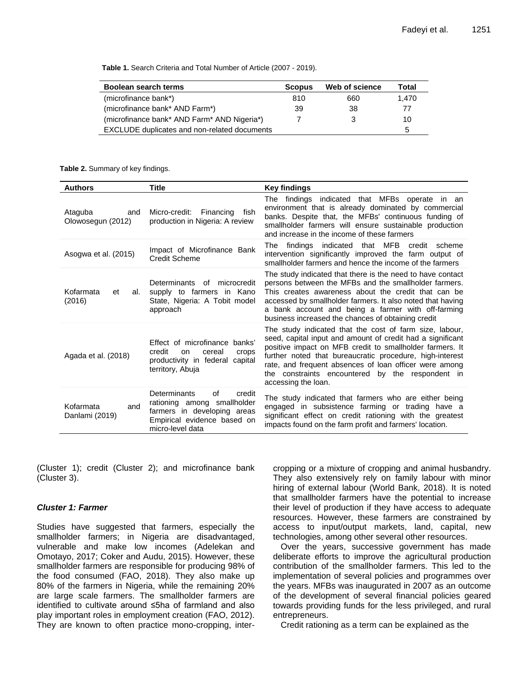**Table 1.** Search Criteria and Total Number of Article (2007 - 2019).

| Boolean search terms                         | <b>Scopus</b> | Web of science | Total |
|----------------------------------------------|---------------|----------------|-------|
| (microfinance bank*)                         | 810           | 660            | 1.470 |
| (microfinance bank* AND Farm*)               | 39            | 38             | 77    |
| (microfinance bank* AND Farm* AND Nigeria*)  |               | 3              | 10    |
| EXCLUDE duplicates and non-related documents |               |                | 5     |

**Table 2.** Summary of key findings.

| <b>Authors</b>                      | <b>Title</b>                                                                                                                                  | Key findings                                                                                                                                                                                                                                                                                                                                                                       |
|-------------------------------------|-----------------------------------------------------------------------------------------------------------------------------------------------|------------------------------------------------------------------------------------------------------------------------------------------------------------------------------------------------------------------------------------------------------------------------------------------------------------------------------------------------------------------------------------|
| Ataguba<br>and<br>Olowosegun (2012) | Micro-credit:<br>Financing<br>fish<br>production in Nigeria: A review                                                                         | The findings indicated that MFBs operate in an<br>environment that is already dominated by commercial<br>banks. Despite that, the MFBs' continuous funding of<br>smallholder farmers will ensure sustainable production<br>and increase in the income of these farmers                                                                                                             |
| Asogwa et al. (2015)                | Impact of Microfinance Bank<br>Credit Scheme                                                                                                  | findings indicated that MFB<br>The<br>credit scheme<br>intervention significantly improved the farm output of<br>smallholder farmers and hence the income of the farmers                                                                                                                                                                                                           |
| Kofarmata<br>et<br>al.<br>(2016)    | Determinants of microcredit<br>supply to farmers in Kano<br>State, Nigeria: A Tobit model<br>approach                                         | The study indicated that there is the need to have contact<br>persons between the MFBs and the smallholder farmers.<br>This creates awareness about the credit that can be<br>accessed by smallholder farmers. It also noted that having<br>a bank account and being a farmer with off-farming<br>business increased the chances of obtaining credit                               |
| Agada et al. (2018)                 | Effect of microfinance banks'<br>credit<br>cereal<br>on<br>crops<br>productivity in federal<br>capital<br>territory, Abuja                    | The study indicated that the cost of farm size, labour,<br>seed, capital input and amount of credit had a significant<br>positive impact on MFB credit to smallholder farmers. It<br>further noted that bureaucratic procedure, high-interest<br>rate, and frequent absences of loan officer were among<br>the constraints encountered by the respondent in<br>accessing the loan. |
| Kofarmata<br>and<br>Danlami (2019)  | Determinants<br>οf<br>credit<br>rationing among smallholder<br>farmers in developing areas<br>Empirical evidence based on<br>micro-level data | The study indicated that farmers who are either being<br>engaged in subsistence farming or trading have a<br>significant effect on credit rationing with the greatest<br>impacts found on the farm profit and farmers' location.                                                                                                                                                   |

(Cluster 1); credit (Cluster 2); and microfinance bank (Cluster 3).

#### *Cluster 1: Farmer*

Studies have suggested that farmers, especially the smallholder farmers; in Nigeria are disadvantaged, vulnerable and make low incomes (Adelekan and Omotayo, 2017; Coker and Audu, 2015). However, these smallholder farmers are responsible for producing 98% of the food consumed (FAO, 2018). They also make up 80% of the farmers in Nigeria, while the remaining 20% are large scale farmers. The smallholder farmers are identified to cultivate around ≤5ha of farmland and also play important roles in employment creation (FAO, 2012). They are known to often practice mono-cropping, intercropping or a mixture of cropping and animal husbandry. They also extensively rely on family labour with minor hiring of external labour (World Bank, 2018). It is noted that smallholder farmers have the potential to increase their level of production if they have access to adequate resources. However, these farmers are constrained by access to input/output markets, land, capital, new technologies, among other several other resources.

Over the years, successive government has made deliberate efforts to improve the agricultural production contribution of the smallholder farmers. This led to the implementation of several policies and programmes over the years. MFBs was inaugurated in 2007 as an outcome of the development of several financial policies geared towards providing funds for the less privileged, and rural entrepreneurs.

Credit rationing as a term can be explained as the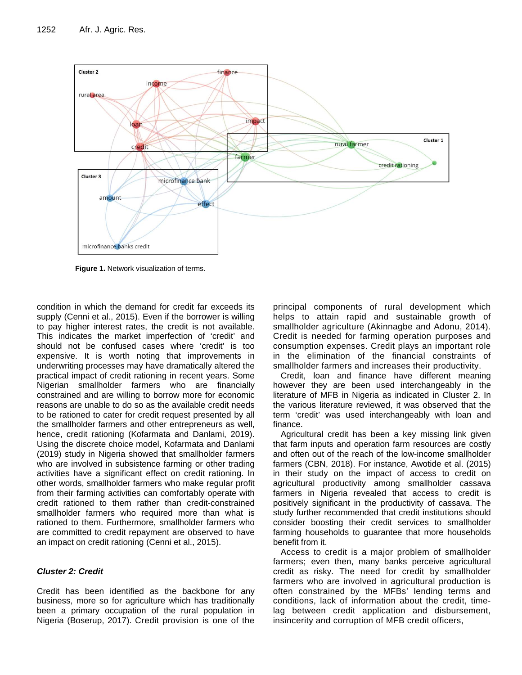

**Figure 1.** Network visualization of terms.

condition in which the demand for credit far exceeds its supply (Cenni et al., 2015). Even if the borrower is willing to pay higher interest rates, the credit is not available. This indicates the market imperfection of 'credit' and should not be confused cases where 'credit' is too expensive. It is worth noting that improvements in underwriting processes may have dramatically altered the practical impact of credit rationing in recent years. Some Nigerian smallholder farmers who are financially constrained and are willing to borrow more for economic reasons are unable to do so as the available credit needs to be rationed to cater for credit request presented by all the smallholder farmers and other entrepreneurs as well, hence, credit rationing (Kofarmata and Danlami, 2019). Using the discrete choice model, Kofarmata and Danlami (2019) study in Nigeria showed that smallholder farmers who are involved in subsistence farming or other trading activities have a significant effect on credit rationing. In other words, smallholder farmers who make regular profit from their farming activities can comfortably operate with credit rationed to them rather than credit-constrained smallholder farmers who required more than what is rationed to them. Furthermore, smallholder farmers who are committed to credit repayment are observed to have an impact on credit rationing (Cenni et al., 2015).

## *Cluster 2: Credit*

Credit has been identified as the backbone for any business, more so for agriculture which has traditionally been a primary occupation of the rural population in Nigeria (Boserup, 2017). Credit provision is one of the

principal components of rural development which helps to attain rapid and sustainable growth of smallholder agriculture (Akinnagbe and Adonu, 2014). Credit is needed for farming operation purposes and consumption expenses. Credit plays an important role in the elimination of the financial constraints of smallholder farmers and increases their productivity.

Credit, loan and finance have different meaning however they are been used interchangeably in the literature of MFB in Nigeria as indicated in Cluster 2. In the various literature reviewed, it was observed that the term 'credit' was used interchangeably with loan and finance.

Agricultural credit has been a key missing link given that farm inputs and operation farm resources are costly and often out of the reach of the low-income smallholder farmers (CBN, 2018). For instance, Awotide et al. (2015) in their study on the impact of access to credit on agricultural productivity among smallholder cassava farmers in Nigeria revealed that access to credit is positively significant in the productivity of cassava. The study further recommended that credit institutions should consider boosting their credit services to smallholder farming households to guarantee that more households benefit from it.

Access to credit is a major problem of smallholder farmers; even then, many banks perceive agricultural credit as risky. The need for credit by smallholder farmers who are involved in agricultural production is often constrained by the MFBs' lending terms and conditions, lack of information about the credit, timelag between credit application and disbursement, insincerity and corruption of MFB credit officers,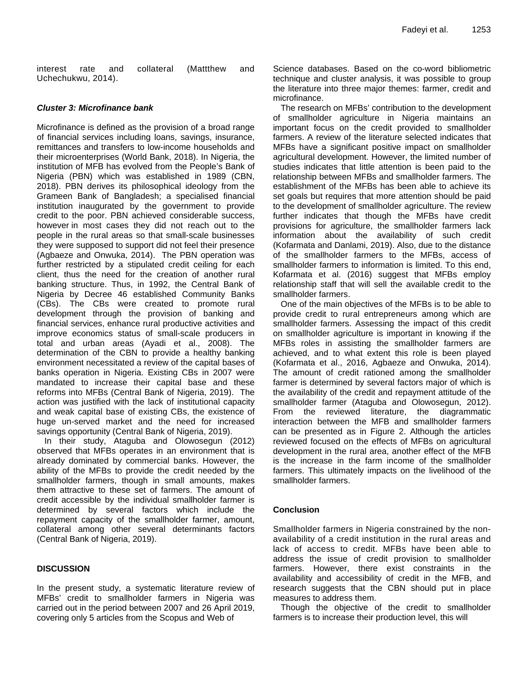interest rate and collateral (Mattthew and Uchechukwu, 2014).

#### *Cluster 3: Microfinance bank*

Microfinance is defined as the provision of a broad range of financial services including loans, savings, insurance, remittances and transfers to low-income households and their microenterprises (World Bank, 2018). In Nigeria, the institution of MFB has evolved from the People's Bank of Nigeria (PBN) which was established in 1989 (CBN, 2018). PBN derives its philosophical ideology from the Grameen Bank of Bangladesh; a specialised financial institution inaugurated by the government to provide credit to the poor. PBN achieved considerable success, however in most cases they did not reach out to the people in the rural areas so that small-scale businesses they were supposed to support did not feel their presence (Agbaeze and Onwuka, 2014). The PBN operation was further restricted by a stipulated credit ceiling for each client, thus the need for the creation of another rural banking structure. Thus, in 1992, the Central Bank of Nigeria by Decree 46 established Community Banks (CBs). The CBs were created to promote rural development through the provision of banking and financial services, enhance rural productive activities and improve economics status of small-scale producers in total and urban areas (Ayadi et al., 2008). The determination of the CBN to provide a healthy banking environment necessitated a review of the capital bases of banks operation in Nigeria. Existing CBs in 2007 were mandated to increase their capital base and these reforms into MFBs (Central Bank of Nigeria, 2019). The action was justified with the lack of institutional capacity and weak capital base of existing CBs, the existence of huge un-served market and the need for increased savings opportunity (Central Bank of Nigeria, 2019).

In their study, Ataguba and Olowosegun (2012) observed that MFBs operates in an environment that is already dominated by commercial banks. However, the ability of the MFBs to provide the credit needed by the smallholder farmers, though in small amounts, makes them attractive to these set of farmers. The amount of credit accessible by the individual smallholder farmer is determined by several factors which include the repayment capacity of the smallholder farmer, amount, collateral among other several determinants factors (Central Bank of Nigeria, 2019).

## **DISCUSSION**

In the present study, a systematic literature review of MFBs' credit to smallholder farmers in Nigeria was carried out in the period between 2007 and 26 April 2019, covering only 5 articles from the Scopus and Web of

Science databases. Based on the co-word bibliometric technique and cluster analysis, it was possible to group the literature into three major themes: farmer, credit and microfinance.

The research on MFBs' contribution to the development of smallholder agriculture in Nigeria maintains an important focus on the credit provided to smallholder farmers. A review of the literature selected indicates that MFBs have a significant positive impact on smallholder agricultural development. However, the limited number of studies indicates that little attention is been paid to the relationship between MFBs and smallholder farmers. The establishment of the MFBs has been able to achieve its set goals but requires that more attention should be paid to the development of smallholder agriculture. The review further indicates that though the MFBs have credit provisions for agriculture, the smallholder farmers lack information about the availability of such credit (Kofarmata and Danlami, 2019). Also, due to the distance of the smallholder farmers to the MFBs, access of smallholder farmers to information is limited. To this end, Kofarmata et al. (2016) suggest that MFBs employ relationship staff that will sell the available credit to the smallholder farmers.

One of the main objectives of the MFBs is to be able to provide credit to rural entrepreneurs among which are smallholder farmers. Assessing the impact of this credit on smallholder agriculture is important in knowing if the MFBs roles in assisting the smallholder farmers are achieved, and to what extent this role is been played (Kofarmata et al., 2016, Agbaeze and Onwuka, 2014). The amount of credit rationed among the smallholder farmer is determined by several factors major of which is the availability of the credit and repayment attitude of the smallholder farmer (Ataguba and Olowosegun, 2012). From the reviewed literature, the diagrammatic interaction between the MFB and smallholder farmers can be presented as in Figure 2. Although the articles reviewed focused on the effects of MFBs on agricultural development in the rural area, another effect of the MFB is the increase in the farm income of the smallholder farmers. This ultimately impacts on the livelihood of the smallholder farmers.

#### **Conclusion**

Smallholder farmers in Nigeria constrained by the nonavailability of a credit institution in the rural areas and lack of access to credit. MFBs have been able to address the issue of credit provision to smallholder farmers. However, there exist constraints in the availability and accessibility of credit in the MFB, and research suggests that the CBN should put in place measures to address them.

Though the objective of the credit to smallholder farmers is to increase their production level, this will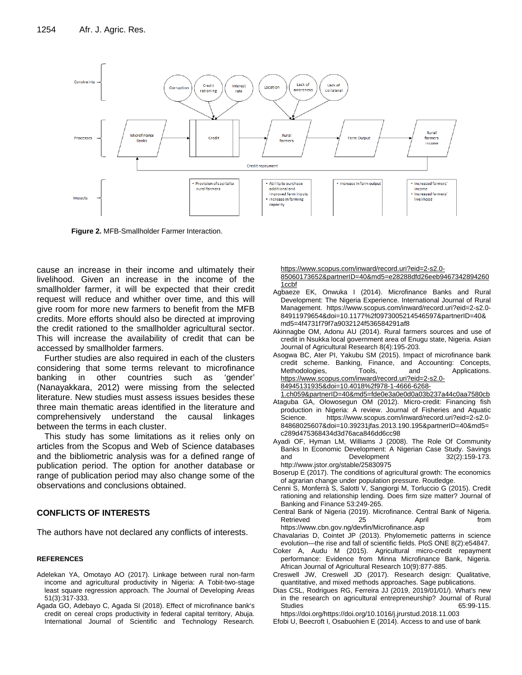

**Figure 2.** MFB-Smallholder Farmer Interaction.

cause an increase in their income and ultimately their livelihood. Given an increase in the income of the smallholder farmer, it will be expected that their credit request will reduce and whither over time, and this will give room for more new farmers to benefit from the MFB credits. More efforts should also be directed at improving the credit rationed to the smallholder agricultural sector. This will increase the availability of credit that can be accessed by smallholder farmers.

Further studies are also required in each of the clusters considering that some terms relevant to microfinance banking in other countries such as 'gender' (Nanayakkara, 2012) were missing from the selected literature. New studies must assess issues besides these three main thematic areas identified in the literature and comprehensively understand the causal linkages between the terms in each cluster.

This study has some limitations as it relies only on articles from the Scopus and Web of Science databases and the bibliometric analysis was for a defined range of publication period. The option for another database or range of publication period may also change some of the observations and conclusions obtained.

## **CONFLICTS OF INTERESTS**

The authors have not declared any conflicts of interests.

#### **REFERENCES**

- Adelekan YA, Omotayo AO (2017). Linkage between rural non-farm income and agricultural productivity in Nigeria: A Tobit-two-stage least square regression approach. The Journal of Developing Areas 51(3):317-333.
- Agada GO, Adebayo C, Agada SI (2018). Effect of microfinance bank's credit on cereal crops productivity in federal capital territory, Abuja. International Journal of Scientific and Technology Research.

[https://www.scopus.com/inward/record.uri?eid=2-s2.0-](https://www.scopus.com/inward/record.uri?eid=2-s2.0-85060173652&partnerID=40&md5=e28288dfd26eeb94673428942601ccbf) [85060173652&partnerID=40&md5=e28288dfd26eeb9467342894260](https://www.scopus.com/inward/record.uri?eid=2-s2.0-85060173652&partnerID=40&md5=e28288dfd26eeb94673428942601ccbf) [1ccbf](https://www.scopus.com/inward/record.uri?eid=2-s2.0-85060173652&partnerID=40&md5=e28288dfd26eeb94673428942601ccbf)

- Agbaeze EK, Onwuka I (2014). Microfinance Banks and Rural Development: The Nigeria Experience. International Journal of Rural Management. https://www.scopus.com/inward/record.uri?eid=2-s2.0- 84911979654&doi=10.1177%2f0973005214546597&partnerID=40& md5=4f4731f79f7a9032124f536584291af8
- Akinnagbe OM, Adonu AU (2014). Rural farmers sources and use of credit in Nsukka local government area of Enugu state, Nigeria. Asian Journal of Agricultural Research 8(4):195-203.
- Asogwa BC, Ater PI, Yakubu SM (2015). Impact of microfinance bank credit scheme. Banking, Finance, and Accounting: Concepts, Methodologies, Tools, and Applications. [https://www.scopus.com/inward/record.uri?eid=2-s2.0-](https://www.scopus.com/inward/record.uri?eid=2-s2.0-84945131935&doi=10.4018%2f978-1-4666-6268-1.ch059&partnerID=40&md5=fde0e3a0e0d0a03b237a44c0aa7580cb) [84945131935&doi=10.4018%2f978-1-4666-6268-](https://www.scopus.com/inward/record.uri?eid=2-s2.0-84945131935&doi=10.4018%2f978-1-4666-6268-1.ch059&partnerID=40&md5=fde0e3a0e0d0a03b237a44c0aa7580cb)
- [1.ch059&partnerID=40&md5=fde0e3a0e0d0a03b237a44c0aa7580cb](https://www.scopus.com/inward/record.uri?eid=2-s2.0-84945131935&doi=10.4018%2f978-1-4666-6268-1.ch059&partnerID=40&md5=fde0e3a0e0d0a03b237a44c0aa7580cb) Ataguba GA, Olowosegun OM (2012). Micro-credit: Financing fish production in Nigeria: A review. Journal of Fisheries and Aquatic Science. https://www.scopus.com/inward/record.uri?eid=2-s2.0- 84868025607&doi=10.39231jfas.2013.190.195&partnerID=40&md5=
- c289d475368434d3d76aca846dd6cc98 Ayadi OF, Hyman LM, Williams J (2008). The Role Of Community Banks In Economic Development: A Nigerian Case Study. Savings and Development 32(2):159-173.
- http://www.jstor.org/stable/25830975 Boserup E (2017). The conditions of agricultural growth: The economics
- of agrarian change under population pressure. Routledge.
- Cenni S, Monferrà S, Salotti V, Sangiorgi M, Torluccio G (2015). Credit rationing and relationship lending. Does firm size matter? Journal of Banking and Finance 53:249-265.
- Central Bank of Nigeria (2019). Microfinance. Central Bank of Nigeria. Retrieved 25 April https://www.cbn.gov.ng/devfin/Microfinance.asp
- Chavalarias D, Cointet JP (2013). Phylomemetic patterns in science evolution—the rise and fall of scientific fields. PloS ONE 8(2):e54847.
- Coker A, Audu M (2015). Agricultural micro-credit repayment performance: Evidence from Minna Microfinance Bank, Nigeria. African Journal of Agricultural Research 10(9):877-885.
- Creswell JW, Creswell JD (2017). Research design: Qualitative, quantitative, and mixed methods approaches. Sage publications.
- Dias CSL, Rodrigues RG, Ferreira JJ (2019, 2019/01/01/). What's new in the research on agricultural entrepreneurship? Journal of Rural Studies 65:99-115.

Efobi U, Beecroft I, Osabuohien E (2014). Access to and use of bank

https://doi.org/https://doi.org/10.1016/j.jrurstud.2018.11.003